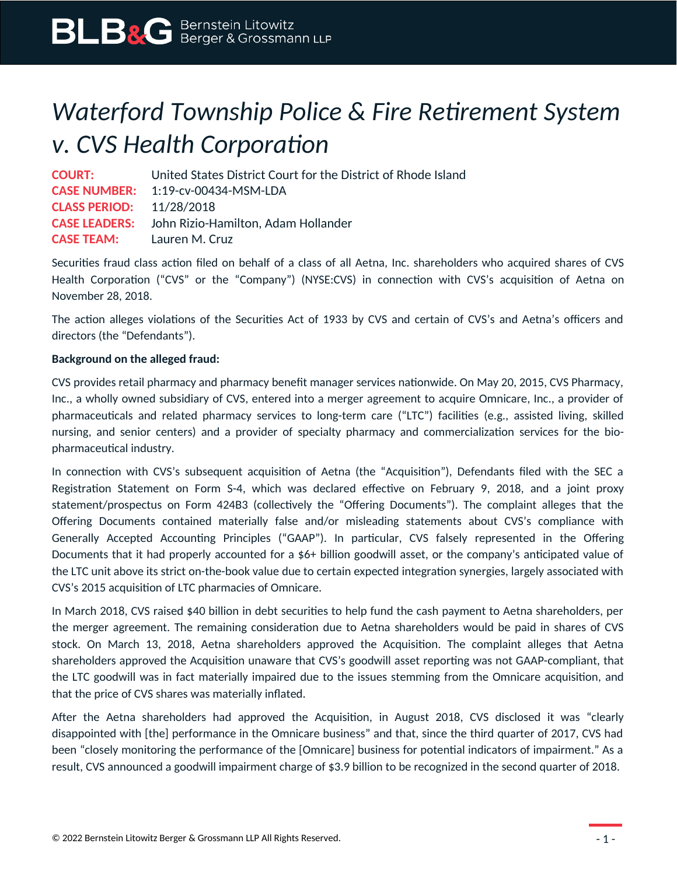## *Waterford Township Police & Fire Retirement System v. CVS Health Corporation*

**COURT:** United States District Court for the District of Rhode Island **CASE NUMBER:** 1:19-cv-00434-MSM-LDA **CLASS PERIOD:** 11/28/2018 **CASE LEADERS:** John Rizio-Hamilton, Adam Hollander **CASE TEAM:** Lauren M. Cruz

Securities fraud class action filed on behalf of a class of all Aetna, Inc. shareholders who acquired shares of CVS Health Corporation ("CVS" or the "Company") (NYSE:CVS) in connection with CVS's acquisition of Aetna on November 28, 2018.

The action alleges violations of the Securities Act of 1933 by CVS and certain of CVS's and Aetna's officers and directors (the "Defendants").

## **Background on the alleged fraud:**

CVS provides retail pharmacy and pharmacy benefit manager services nationwide. On May 20, 2015, CVS Pharmacy, Inc., a wholly owned subsidiary of CVS, entered into a merger agreement to acquire Omnicare, Inc., a provider of pharmaceuticals and related pharmacy services to long-term care ("LTC") facilities (e.g., assisted living, skilled nursing, and senior centers) and a provider of specialty pharmacy and commercialization services for the biopharmaceutical industry.

In connection with CVS's subsequent acquisition of Aetna (the "Acquisition"), Defendants filed with the SEC a Registration Statement on Form S-4, which was declared effective on February 9, 2018, and a joint proxy statement/prospectus on Form 424B3 (collectively the "Offering Documents"). The complaint alleges that the Offering Documents contained materially false and/or misleading statements about CVS's compliance with Generally Accepted Accounting Principles ("GAAP"). In particular, CVS falsely represented in the Offering Documents that it had properly accounted for a \$6+ billion goodwill asset, or the company's anticipated value of the LTC unit above its strict on-the-book value due to certain expected integration synergies, largely associated with CVS's 2015 acquisition of LTC pharmacies of Omnicare.

In March 2018, CVS raised \$40 billion in debt securities to help fund the cash payment to Aetna shareholders, per the merger agreement. The remaining consideration due to Aetna shareholders would be paid in shares of CVS stock. On March 13, 2018, Aetna shareholders approved the Acquisition. The complaint alleges that Aetna shareholders approved the Acquisition unaware that CVS's goodwill asset reporting was not GAAP-compliant, that the LTC goodwill was in fact materially impaired due to the issues stemming from the Omnicare acquisition, and that the price of CVS shares was materially inflated.

After the Aetna shareholders had approved the Acquisition, in August 2018, CVS disclosed it was "clearly disappointed with [the] performance in the Omnicare business" and that, since the third quarter of 2017, CVS had been "closely monitoring the performance of the [Omnicare] business for potential indicators of impairment." As a result, CVS announced a goodwill impairment charge of \$3.9 billion to be recognized in the second quarter of 2018.